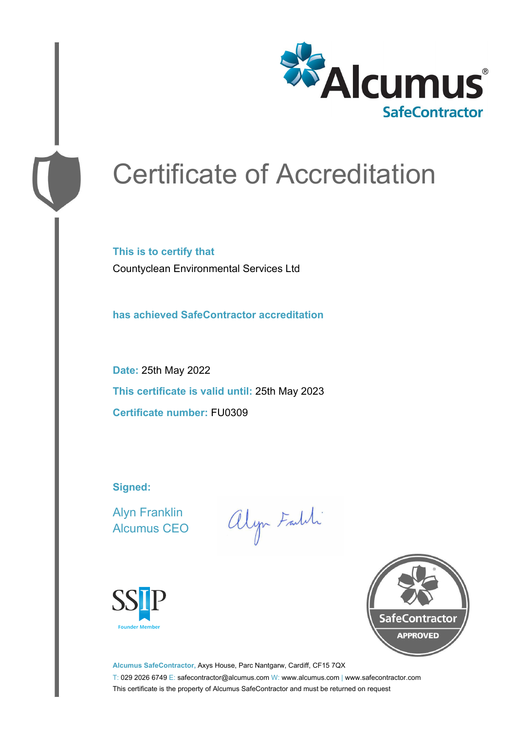

# Certificate of Accreditation

**This is to certify that** Countyclean Environmental Services Ltd

**has achieved SafeContractor accreditation**

**Date:** 25th May 2022 **This certificate is valid until:** 25th May 2023 **Certificate number:** FU0309

**Signed:**

Alyn Franklin Alcumus CEO

alyn Faith





**Alcumus SafeContractor,** Axys House, Parc Nantgarw, Cardiff, CF15 7QX T: 029 2026 6749 E: safecontractor@alcumus.com W: www.alcumus.com | www.safecontractor.com This certificate is the property of Alcumus SafeContractor and must be returned on request